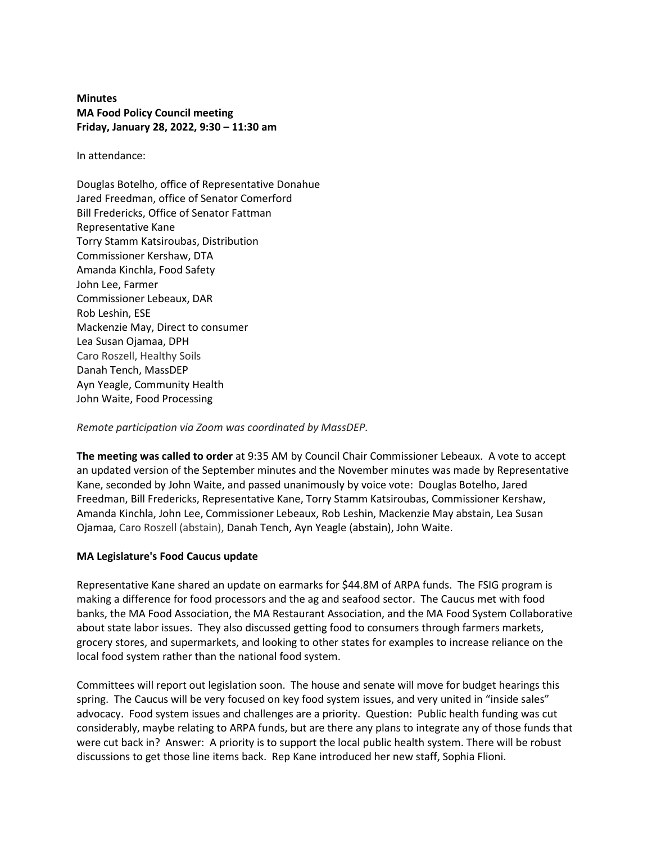**Minutes MA Food Policy Council meeting Friday, January 28, 2022, 9:30 – 11:30 am**

In attendance:

Douglas Botelho, office of Representative Donahue Jared Freedman, office of Senator Comerford Bill Fredericks, Office of Senator Fattman Representative Kane Torry Stamm Katsiroubas, Distribution Commissioner Kershaw, DTA Amanda Kinchla, Food Safety John Lee, Farmer Commissioner Lebeaux, DAR Rob Leshin, ESE Mackenzie May, Direct to consumer Lea Susan Ojamaa, DPH Caro Roszell, Healthy Soils Danah Tench, MassDEP Ayn Yeagle, Community Health John Waite, Food Processing

#### *Remote participation via Zoom was coordinated by MassDEP.*

**The meeting was called to order** at 9:35 AM by Council Chair Commissioner Lebeaux. A vote to accept an updated version of the September minutes and the November minutes was made by Representative Kane, seconded by John Waite, and passed unanimously by voice vote: Douglas Botelho, Jared Freedman, Bill Fredericks, Representative Kane, Torry Stamm Katsiroubas, Commissioner Kershaw, Amanda Kinchla, John Lee, Commissioner Lebeaux, Rob Leshin, Mackenzie May abstain, Lea Susan Ojamaa, Caro Roszell (abstain), Danah Tench, Ayn Yeagle (abstain), John Waite.

#### **MA Legislature's Food Caucus update**

Representative Kane shared an update on earmarks for \$44.8M of ARPA funds. The FSIG program is making a difference for food processors and the ag and seafood sector. The Caucus met with food banks, the MA Food Association, the MA Restaurant Association, and the MA Food System Collaborative about state labor issues. They also discussed getting food to consumers through farmers markets, grocery stores, and supermarkets, and looking to other states for examples to increase reliance on the local food system rather than the national food system.

Committees will report out legislation soon. The house and senate will move for budget hearings this spring. The Caucus will be very focused on key food system issues, and very united in "inside sales" advocacy. Food system issues and challenges are a priority. Question: Public health funding was cut considerably, maybe relating to ARPA funds, but are there any plans to integrate any of those funds that were cut back in? Answer: A priority is to support the local public health system. There will be robust discussions to get those line items back. Rep Kane introduced her new staff, Sophia Flioni.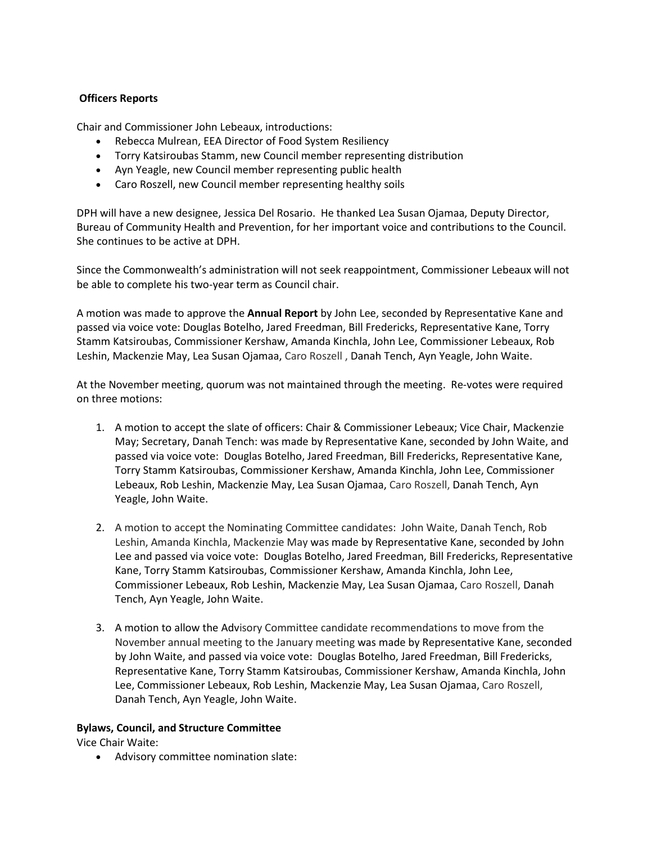# **Officers Reports**

Chair and Commissioner John Lebeaux, introductions:

- Rebecca Mulrean, EEA Director of Food System Resiliency
- Torry Katsiroubas Stamm, new Council member representing distribution
- Ayn Yeagle, new Council member representing public health
- Caro Roszell, new Council member representing healthy soils

DPH will have a new designee, Jessica Del Rosario. He thanked Lea Susan Ojamaa, Deputy Director, Bureau of Community Health and Prevention, for her important voice and contributions to the Council. She continues to be active at DPH.

Since the Commonwealth's administration will not seek reappointment, Commissioner Lebeaux will not be able to complete his two-year term as Council chair.

A motion was made to approve the **Annual Report** by John Lee, seconded by Representative Kane and passed via voice vote: Douglas Botelho, Jared Freedman, Bill Fredericks, Representative Kane, Torry Stamm Katsiroubas, Commissioner Kershaw, Amanda Kinchla, John Lee, Commissioner Lebeaux, Rob Leshin, Mackenzie May, Lea Susan Ojamaa, Caro Roszell , Danah Tench, Ayn Yeagle, John Waite.

At the November meeting, quorum was not maintained through the meeting. Re-votes were required on three motions:

- 1. A motion to accept the slate of officers: Chair & Commissioner Lebeaux; Vice Chair, Mackenzie May; Secretary, Danah Tench: was made by Representative Kane, seconded by John Waite, and passed via voice vote: Douglas Botelho, Jared Freedman, Bill Fredericks, Representative Kane, Torry Stamm Katsiroubas, Commissioner Kershaw, Amanda Kinchla, John Lee, Commissioner Lebeaux, Rob Leshin, Mackenzie May, Lea Susan Ojamaa, Caro Roszell, Danah Tench, Ayn Yeagle, John Waite.
- 2. A motion to accept the Nominating Committee candidates:John Waite, Danah Tench, Rob Leshin, Amanda Kinchla, Mackenzie May was made by Representative Kane, seconded by John Lee and passed via voice vote: Douglas Botelho, Jared Freedman, Bill Fredericks, Representative Kane, Torry Stamm Katsiroubas, Commissioner Kershaw, Amanda Kinchla, John Lee, Commissioner Lebeaux, Rob Leshin, Mackenzie May, Lea Susan Ojamaa, Caro Roszell, Danah Tench, Ayn Yeagle, John Waite.
- 3. A motion to allow the Advisory Committee candidate recommendations to move from the November annual meeting to the January meeting was made by Representative Kane, seconded by John Waite, and passed via voice vote: Douglas Botelho, Jared Freedman, Bill Fredericks, Representative Kane, Torry Stamm Katsiroubas, Commissioner Kershaw, Amanda Kinchla, John Lee, Commissioner Lebeaux, Rob Leshin, Mackenzie May, Lea Susan Ojamaa, Caro Roszell, Danah Tench, Ayn Yeagle, John Waite.

#### **Bylaws, Council, and Structure Committee**

Vice Chair Waite:

• Advisory committee nomination slate: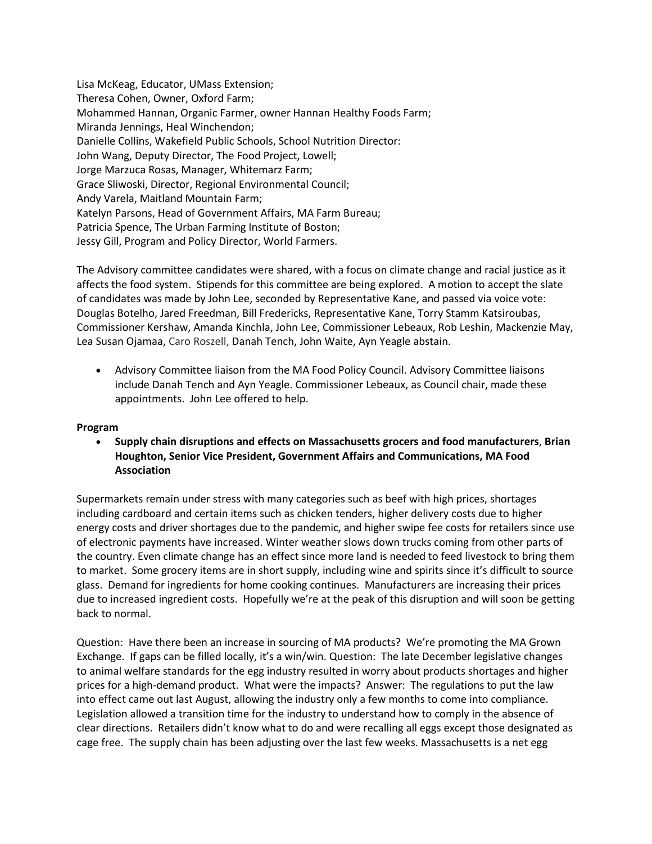Lisa McKeag, Educator, UMass Extension; Theresa Cohen, Owner, Oxford Farm; Mohammed Hannan, Organic Farmer, owner Hannan Healthy Foods Farm; Miranda Jennings, Heal Winchendon; Danielle Collins, Wakefield Public Schools, School Nutrition Director: John Wang, Deputy Director, The Food Project, Lowell; Jorge Marzuca Rosas, Manager, Whitemarz Farm; Grace Sliwoski, Director, Regional Environmental Council; Andy Varela, Maitland Mountain Farm; Katelyn Parsons, Head of Government Affairs, MA Farm Bureau; Patricia Spence, The Urban Farming Institute of Boston; Jessy Gill, Program and Policy Director, World Farmers.

The Advisory committee candidates were shared, with a focus on climate change and racial justice as it affects the food system. Stipends for this committee are being explored. A motion to accept the slate of candidates was made by John Lee, seconded by Representative Kane, and passed via voice vote: Douglas Botelho, Jared Freedman, Bill Fredericks, Representative Kane, Torry Stamm Katsiroubas, Commissioner Kershaw, Amanda Kinchla, John Lee, Commissioner Lebeaux, Rob Leshin, Mackenzie May, Lea Susan Ojamaa, Caro Roszell, Danah Tench, John Waite, Ayn Yeagle abstain.

• Advisory Committee liaison from the MA Food Policy Council. Advisory Committee liaisons include Danah Tench and Ayn Yeagle. Commissioner Lebeaux, as Council chair, made these appointments. John Lee offered to help.

### **Program**

• **Supply chain disruptions and effects on Massachusetts grocers and food manufacturers**, **Brian Houghton, Senior Vice President, Government Affairs and Communications, MA Food Association**

Supermarkets remain under stress with many categories such as beef with high prices, shortages including cardboard and certain items such as chicken tenders, higher delivery costs due to higher energy costs and driver shortages due to the pandemic, and higher swipe fee costs for retailers since use of electronic payments have increased. Winter weather slows down trucks coming from other parts of the country. Even climate change has an effect since more land is needed to feed livestock to bring them to market. Some grocery items are in short supply, including wine and spirits since it's difficult to source glass. Demand for ingredients for home cooking continues. Manufacturers are increasing their prices due to increased ingredient costs. Hopefully we're at the peak of this disruption and will soon be getting back to normal.

Question: Have there been an increase in sourcing of MA products? We're promoting the MA Grown Exchange. If gaps can be filled locally, it's a win/win. Question: The late December legislative changes to animal welfare standards for the egg industry resulted in worry about products shortages and higher prices for a high-demand product. What were the impacts? Answer: The regulations to put the law into effect came out last August, allowing the industry only a few months to come into compliance. Legislation allowed a transition time for the industry to understand how to comply in the absence of clear directions. Retailers didn't know what to do and were recalling all eggs except those designated as cage free. The supply chain has been adjusting over the last few weeks. Massachusetts is a net egg